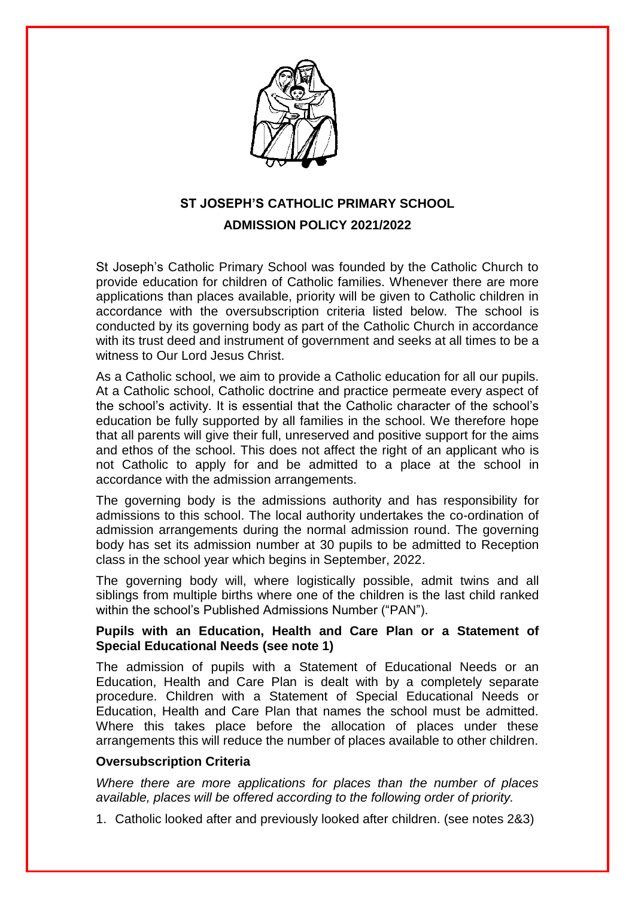

# **ST JOSEPH'S CATHOLIC PRIMARY SCHOOL ADMISSION POLICY 2021/2022**

St Joseph's Catholic Primary School was founded by the Catholic Church to provide education for children of Catholic families. Whenever there are more applications than places available, priority will be given to Catholic children in accordance with the oversubscription criteria listed below. The school is conducted by its governing body as part of the Catholic Church in accordance with its trust deed and instrument of government and seeks at all times to be a witness to Our Lord Jesus Christ.

As a Catholic school, we aim to provide a Catholic education for all our pupils. At a Catholic school, Catholic doctrine and practice permeate every aspect of the school's activity. It is essential that the Catholic character of the school's education be fully supported by all families in the school. We therefore hope that all parents will give their full, unreserved and positive support for the aims and ethos of the school. This does not affect the right of an applicant who is not Catholic to apply for and be admitted to a place at the school in accordance with the admission arrangements.

The governing body is the admissions authority and has responsibility for admissions to this school. The local authority undertakes the co-ordination of admission arrangements during the normal admission round. The governing body has set its admission number at 30 pupils to be admitted to Reception class in the school year which begins in September, 2022.

The governing body will, where logistically possible, admit twins and all siblings from multiple births where one of the children is the last child ranked within the school's Published Admissions Number ("PAN").

## **Pupils with an Education, Health and Care Plan or a Statement of Special Educational Needs (see note 1)**

The admission of pupils with a Statement of Educational Needs or an Education, Health and Care Plan is dealt with by a completely separate procedure. Children with a Statement of Special Educational Needs or Education, Health and Care Plan that names the school must be admitted. Where this takes place before the allocation of places under these arrangements this will reduce the number of places available to other children.

## **Oversubscription Criteria**

*Where there are more applications for places than the number of places available, places will be offered according to the following order of priority.*

1. Catholic looked after and previously looked after children. (see notes 2&3)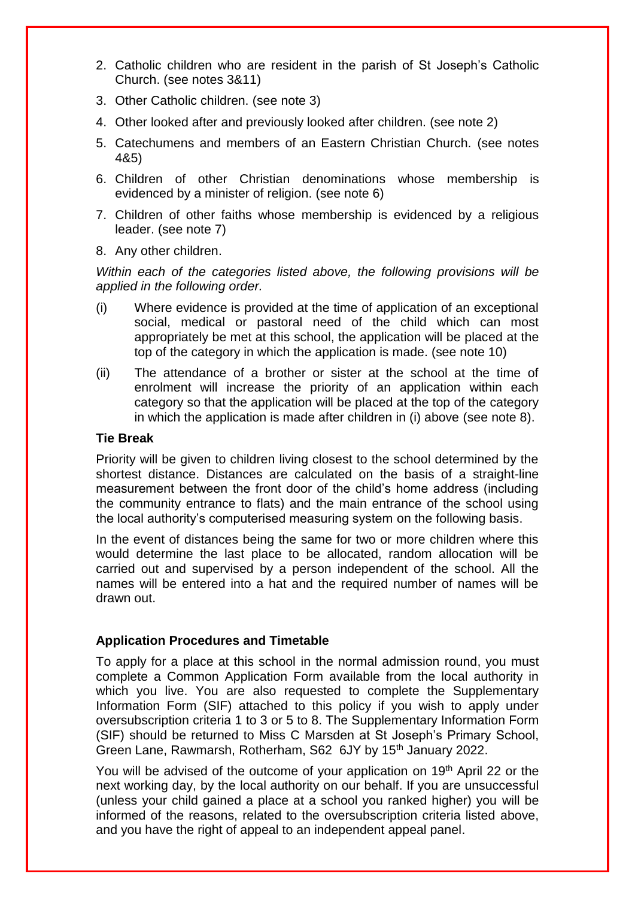- 2. Catholic children who are resident in the parish of St Joseph's Catholic Church. (see notes 3&11)
- 3. Other Catholic children. (see note 3)
- 4. Other looked after and previously looked after children. (see note 2)
- 5. Catechumens and members of an Eastern Christian Church. (see notes 4&5)
- 6. Children of other Christian denominations whose membership is evidenced by a minister of religion. (see note 6)
- 7. Children of other faiths whose membership is evidenced by a religious leader. (see note 7)
- 8. Any other children.

*Within each of the categories listed above, the following provisions will be applied in the following order.*

- (i) Where evidence is provided at the time of application of an exceptional social, medical or pastoral need of the child which can most appropriately be met at this school, the application will be placed at the top of the category in which the application is made. (see note 10)
- (ii) The attendance of a brother or sister at the school at the time of enrolment will increase the priority of an application within each category so that the application will be placed at the top of the category in which the application is made after children in (i) above (see note 8).

## **Tie Break**

Priority will be given to children living closest to the school determined by the shortest distance. Distances are calculated on the basis of a straight-line measurement between the front door of the child's home address (including the community entrance to flats) and the main entrance of the school using the local authority's computerised measuring system on the following basis.

In the event of distances being the same for two or more children where this would determine the last place to be allocated, random allocation will be carried out and supervised by a person independent of the school. All the names will be entered into a hat and the required number of names will be drawn out.

### **Application Procedures and Timetable**

To apply for a place at this school in the normal admission round, you must complete a Common Application Form available from the local authority in which you live. You are also requested to complete the Supplementary Information Form (SIF) attached to this policy if you wish to apply under oversubscription criteria 1 to 3 or 5 to 8. The Supplementary Information Form (SIF) should be returned to Miss C Marsden at St Joseph's Primary School, Green Lane, Rawmarsh, Rotherham, S62 6JY by 15<sup>th</sup> January 2022.

You will be advised of the outcome of your application on 19<sup>th</sup> April 22 or the next working day, by the local authority on our behalf. If you are unsuccessful (unless your child gained a place at a school you ranked higher) you will be informed of the reasons, related to the oversubscription criteria listed above, and you have the right of appeal to an independent appeal panel.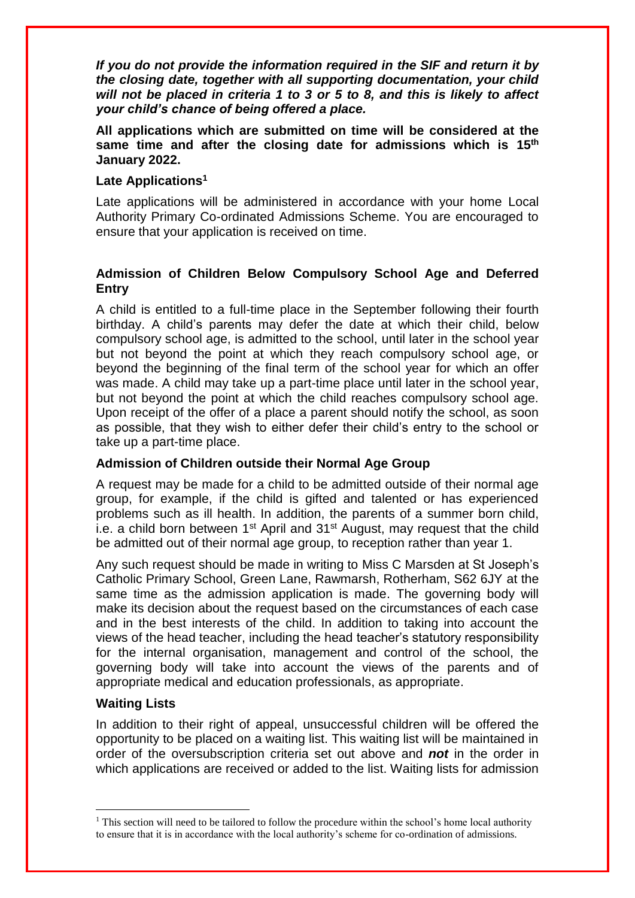*If you do not provide the information required in the SIF and return it by the closing date, together with all supporting documentation, your child will not be placed in criteria 1 to 3 or 5 to 8, and this is likely to affect your child's chance of being offered a place.*

**All applications which are submitted on time will be considered at the same time and after the closing date for admissions which is 15th January 2022.**

## **Late Applications<sup>1</sup>**

Late applications will be administered in accordance with your home Local Authority Primary Co-ordinated Admissions Scheme. You are encouraged to ensure that your application is received on time.

# **Admission of Children Below Compulsory School Age and Deferred Entry**

A child is entitled to a full-time place in the September following their fourth birthday. A child's parents may defer the date at which their child, below compulsory school age, is admitted to the school, until later in the school year but not beyond the point at which they reach compulsory school age, or beyond the beginning of the final term of the school year for which an offer was made. A child may take up a part-time place until later in the school year, but not beyond the point at which the child reaches compulsory school age. Upon receipt of the offer of a place a parent should notify the school, as soon as possible, that they wish to either defer their child's entry to the school or take up a part-time place.

### **Admission of Children outside their Normal Age Group**

A request may be made for a child to be admitted outside of their normal age group, for example, if the child is gifted and talented or has experienced problems such as ill health. In addition, the parents of a summer born child, i.e. a child born between  $1<sup>st</sup>$  April and  $31<sup>st</sup>$  August, may request that the child be admitted out of their normal age group, to reception rather than year 1.

Any such request should be made in writing to Miss C Marsden at St Joseph's Catholic Primary School, Green Lane, Rawmarsh, Rotherham, S62 6JY at the same time as the admission application is made. The governing body will make its decision about the request based on the circumstances of each case and in the best interests of the child. In addition to taking into account the views of the head teacher, including the head teacher's statutory responsibility for the internal organisation, management and control of the school, the governing body will take into account the views of the parents and of appropriate medical and education professionals, as appropriate.

## **Waiting Lists**

1

In addition to their right of appeal, unsuccessful children will be offered the opportunity to be placed on a waiting list. This waiting list will be maintained in order of the oversubscription criteria set out above and *not* in the order in which applications are received or added to the list. Waiting lists for admission

<sup>&</sup>lt;sup>1</sup> This section will need to be tailored to follow the procedure within the school's home local authority to ensure that it is in accordance with the local authority's scheme for co-ordination of admissions.